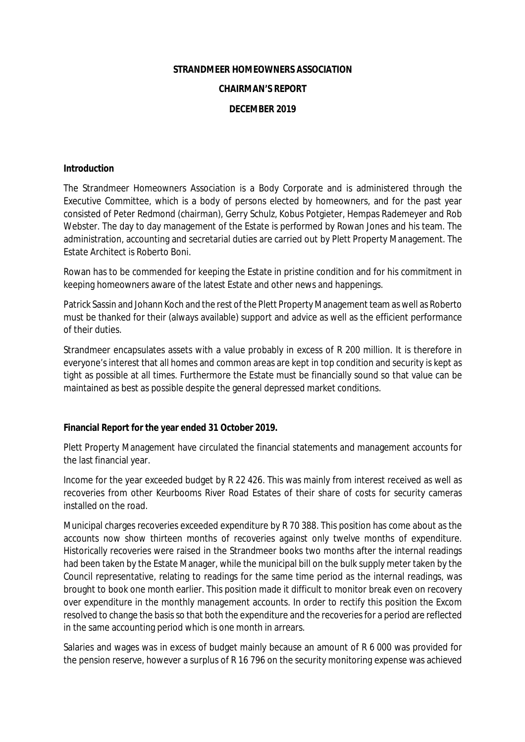## **STRANDMEER HOMEOWNERS ASSOCIATION**

### **CHAIRMAN'S REPORT**

## **DECEMBER 2019**

#### **Introduction**

The Strandmeer Homeowners Association is a Body Corporate and is administered through the Executive Committee, which is a body of persons elected by homeowners, and for the past year consisted of Peter Redmond (chairman), Gerry Schulz, Kobus Potgieter, Hempas Rademeyer and Rob Webster. The day to day management of the Estate is performed by Rowan Jones and his team. The administration, accounting and secretarial duties are carried out by Plett Property Management. The Estate Architect is Roberto Boni.

Rowan has to be commended for keeping the Estate in pristine condition and for his commitment in keeping homeowners aware of the latest Estate and other news and happenings.

Patrick Sassin and Johann Koch and the rest of the Plett Property Management team as well as Roberto must be thanked for their (always available) support and advice as well as the efficient performance of their duties.

Strandmeer encapsulates assets with a value probably in excess of R 200 million. It is therefore in everyone's interest that all homes and common areas are kept in top condition and security is kept as tight as possible at all times. Furthermore the Estate must be financially sound so that value can be maintained as best as possible despite the general depressed market conditions.

**Financial Report for the year ended 31 October 2019.** 

Plett Property Management have circulated the financial statements and management accounts for the last financial year.

Income for the year exceeded budget by R 22 426. This was mainly from interest received as well as recoveries from other Keurbooms River Road Estates of their share of costs for security cameras installed on the road.

Municipal charges recoveries exceeded expenditure by R 70 388. This position has come about as the accounts now show thirteen months of recoveries against only twelve months of expenditure. Historically recoveries were raised in the Strandmeer books two months after the internal readings had been taken by the Estate Manager, while the municipal bill on the bulk supply meter taken by the Council representative, relating to readings for the same time period as the internal readings, was brought to book one month earlier. This position made it difficult to monitor break even on recovery over expenditure in the monthly management accounts. In order to rectify this position the Excom resolved to change the basis so that both the expenditure and the recoveries for a period are reflected in the same accounting period which is one month in arrears.

Salaries and wages was in excess of budget mainly because an amount of R 6 000 was provided for the pension reserve, however a surplus of R 16 796 on the security monitoring expense was achieved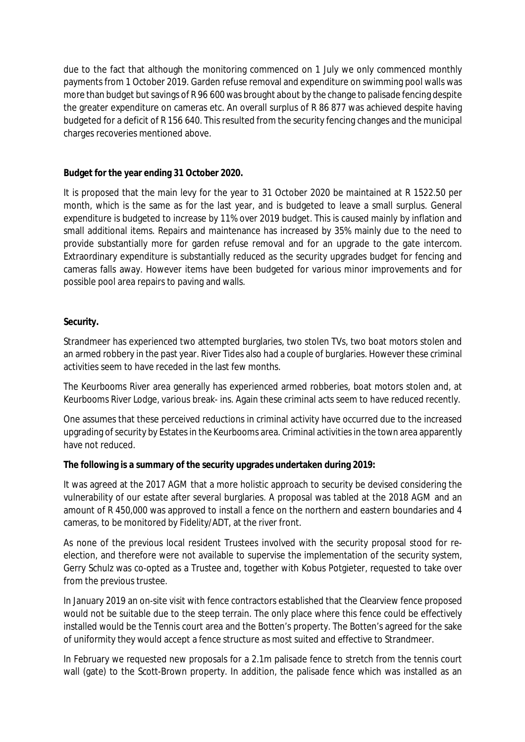due to the fact that although the monitoring commenced on 1 July we only commenced monthly payments from 1 October 2019. Garden refuse removal and expenditure on swimming pool walls was more than budget but savings of R 96 600 was brought about by the change to palisade fencing despite the greater expenditure on cameras etc. An overall surplus of R 86 877 was achieved despite having budgeted for a deficit of R 156 640. This resulted from the security fencing changes and the municipal charges recoveries mentioned above.

**Budget for the year ending 31 October 2020.** 

It is proposed that the main levy for the year to 31 October 2020 be maintained at R 1522.50 per month, which is the same as for the last year, and is budgeted to leave a small surplus. General expenditure is budgeted to increase by 11% over 2019 budget. This is caused mainly by inflation and small additional items. Repairs and maintenance has increased by 35% mainly due to the need to provide substantially more for garden refuse removal and for an upgrade to the gate intercom. Extraordinary expenditure is substantially reduced as the security upgrades budget for fencing and cameras falls away. However items have been budgeted for various minor improvements and for possible pool area repairs to paving and walls.

# **Security.**

Strandmeer has experienced two attempted burglaries, two stolen TVs, two boat motors stolen and an armed robbery in the past year. River Tides also had a couple of burglaries. However these criminal activities seem to have receded in the last few months.

The Keurbooms River area generally has experienced armed robberies, boat motors stolen and, at Keurbooms River Lodge, various break- ins. Again these criminal acts seem to have reduced recently.

One assumes that these perceived reductions in criminal activity have occurred due to the increased upgrading of security by Estates in the Keurbooms area. Criminal activities in the town area apparently have not reduced.

**The following is a summary of the security upgrades undertaken during 2019:** 

It was agreed at the 2017 AGM that a more holistic approach to security be devised considering the vulnerability of our estate after several burglaries. A proposal was tabled at the 2018 AGM and an amount of R 450,000 was approved to install a fence on the northern and eastern boundaries and 4 cameras, to be monitored by Fidelity/ADT, at the river front.

As none of the previous local resident Trustees involved with the security proposal stood for reelection, and therefore were not available to supervise the implementation of the security system, Gerry Schulz was co-opted as a Trustee and, together with Kobus Potgieter, requested to take over from the previous trustee.

In January 2019 an on-site visit with fence contractors established that the Clearview fence proposed would not be suitable due to the steep terrain. The only place where this fence could be effectively installed would be the Tennis court area and the Botten's property. The Botten's agreed for the sake of uniformity they would accept a fence structure as most suited and effective to Strandmeer.

In February we requested new proposals for a 2.1m palisade fence to stretch from the tennis court wall (gate) to the Scott-Brown property. In addition, the palisade fence which was installed as an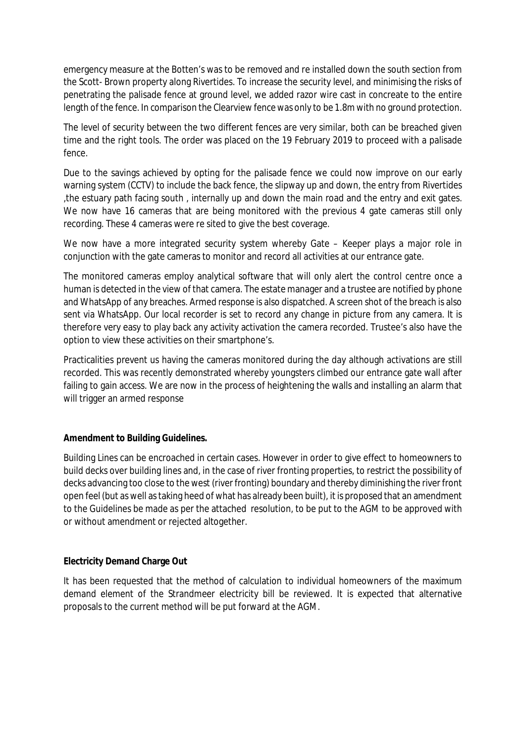emergency measure at the Botten's was to be removed and re installed down the south section from the Scott- Brown property along Rivertides. To increase the security level, and minimising the risks of penetrating the palisade fence at ground level, we added razor wire cast in concreate to the entire length of the fence. In comparison the Clearview fence was only to be 1.8m with no ground protection.

The level of security between the two different fences are very similar, both can be breached given time and the right tools. The order was placed on the 19 February 2019 to proceed with a palisade fence.

Due to the savings achieved by opting for the palisade fence we could now improve on our early warning system (CCTV) to include the back fence, the slipway up and down, the entry from Rivertides ,the estuary path facing south , internally up and down the main road and the entry and exit gates. We now have 16 cameras that are being monitored with the previous 4 gate cameras still only recording. These 4 cameras were re sited to give the best coverage.

We now have a more integrated security system whereby Gate – Keeper plays a major role in conjunction with the gate cameras to monitor and record all activities at our entrance gate.

The monitored cameras employ analytical software that will only alert the control centre once a human is detected in the view of that camera. The estate manager and a trustee are notified by phone and WhatsApp of any breaches. Armed response is also dispatched. A screen shot of the breach is also sent via WhatsApp. Our local recorder is set to record any change in picture from any camera. It is therefore very easy to play back any activity activation the camera recorded. Trustee's also have the option to view these activities on their smartphone's.

Practicalities prevent us having the cameras monitored during the day although activations are still recorded. This was recently demonstrated whereby youngsters climbed our entrance gate wall after failing to gain access. We are now in the process of heightening the walls and installing an alarm that will trigger an armed response

# **Amendment to Building Guidelines.**

Building Lines can be encroached in certain cases. However in order to give effect to homeowners to build decks over building lines and, in the case of river fronting properties, to restrict the possibility of decks advancing too close to the west (river fronting) boundary and thereby diminishing the river front open feel (but as well astaking heed of what has already been built), it is proposed that an amendment to the Guidelines be made as per the attached resolution, to be put to the AGM to be approved with or without amendment or rejected altogether.

# **Electricity Demand Charge Out**

It has been requested that the method of calculation to individual homeowners of the maximum demand element of the Strandmeer electricity bill be reviewed. It is expected that alternative proposals to the current method will be put forward at the AGM.